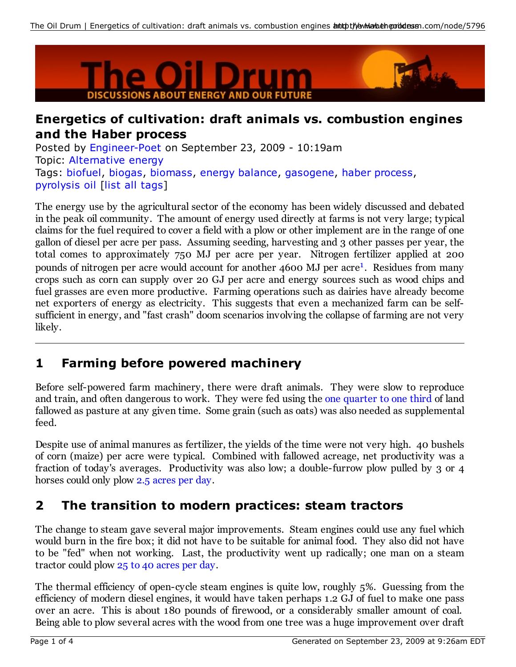

#### **Energetics of cultivation: draft animals vs. combustion engines and the Haber process**

Posted by Engineer-Poet on September 23, 2009 - 10:19am Topic: Alternative energy Tags: biofuel, biogas, biomass, energy balance, gasogene, haber process, pyrolysis oil [list all tags]

The energy use by the agricultural sector of the economy has been widely discussed and debated in the peak oil community. The amount of energy used directly at farms is not very large; typical claims for the fuel required to cover a field with a plow or other implement are in the range of one gallon of diesel per acre per pass. Assuming seeding, harvesting and 3 other passes per year, the total comes to approximately 750 MJ per acre per year. Nitrogen fertilizer applied at 200 pounds of nitrogen per acre would account for another 4600 MJ per acre<sup>1</sup>. Residues from many crops such as corn can supply over 20 GJ per acre and energy sources such as wood chips and fuel grasses are even more productive. Farming operations such as dairies have already become net exporters of energy as electricity. This suggests that even a mechanized farm can be selfsufficient in energy, and "fast crash" doom scenarios involving the collapse of farming are not very likely.

### **1 Farming before powered machinery**

Before self-powered farm machinery, there were draft animals. They were slow to reproduce and train, and often dangerous to work. They were fed using the one quarter to one third of land fallowed as pasture at any given time. Some grain (such as oats) was also needed as supplemental feed.

Despite use of animal manures as fertilizer, the yields of the time were not very high. 40 bushels of corn (maize) per acre were typical. Combined with fallowed acreage, net productivity was a fraction of today's averages. Productivity was also low; a double-furrow plow pulled by 3 or 4 horses could only plow 2.5 acres per day.

### **2 The transition to modern practices: steam tractors**

The change to steam gave several major improvements. Steam engines could use any fuel which would burn in the fire box; it did not have to be suitable for animal food. They also did not have to be "fed" when not working. Last, the productivity went up radically; one man on a steam tractor could plow 25 to 40 acres per day.

The thermal efficiency of open-cycle steam engines is quite low, roughly 5%. Guessing from the efficiency of modern diesel engines, it would have taken perhaps 1.2 GJ of fuel to make one pass over an acre. This is about 180 pounds of firewood, or a considerably smaller amount of coal. Being able to plow several acres with the wood from one tree was a huge improvement over draft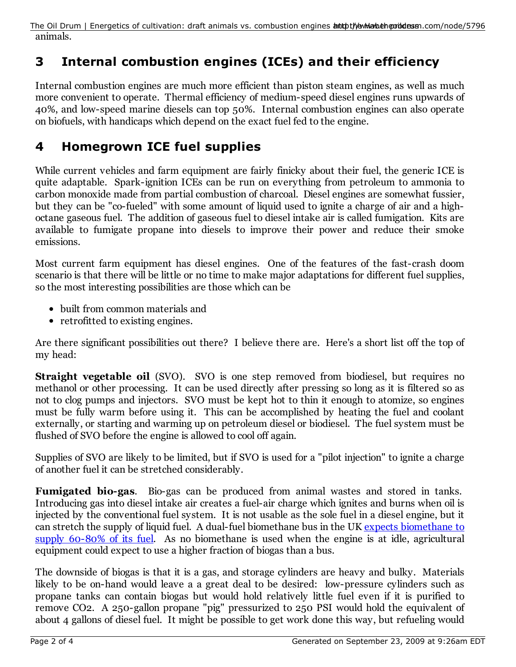animals. The Oil Drum | Energetics of cultivation: draft animals vs. combustion engines **antothey May at eportal com/node/5796** 

# **3 Internal combustion engines (ICEs) and their efficiency**

Internal combustion engines are much more efficient than piston steam engines, as well as much more convenient to operate. Thermal efficiency of medium-speed diesel engines runs upwards of 40%, and low-speed marine diesels can top 50%. Internal combustion engines can also operate on biofuels, with handicaps which depend on the exact fuel fed to the engine.

# **4 Homegrown ICE fuel supplies**

While current vehicles and farm equipment are fairly finicky about their fuel, the generic ICE is quite adaptable. Spark-ignition ICEs can be run on everything from petroleum to ammonia to carbon monoxide made from partial combustion of charcoal. Diesel engines are somewhat fussier, but they can be "co-fueled" with some amount of liquid used to ignite a charge of air and a highoctane gaseous fuel. The addition of gaseous fuel to diesel intake air is called fumigation. Kits are available to fumigate propane into diesels to improve their power and reduce their smoke emissions.

Most current farm equipment has diesel engines. One of the features of the fast-crash doom scenario is that there will be little or no time to make major adaptations for different fuel supplies, so the most interesting possibilities are those which can be

- built from common materials and
- retrofitted to existing engines.

Are there significant possibilities out there? I believe there are. Here's a short list off the top of my head:

**Straight vegetable oil** (SVO). SVO is one step removed from biodiesel, but requires no methanol or other processing. It can be used directly after pressing so long as it is filtered so as not to clog pumps and injectors. SVO must be kept hot to thin it enough to atomize, so engines must be fully warm before using it. This can be accomplished by heating the fuel and coolant externally, or starting and warming up on petroleum diesel or biodiesel. The fuel system must be flushed of SVO before the engine is allowed to cool off again.

Supplies of SVO are likely to be limited, but if SVO is used for a "pilot injection" to ignite a charge of another fuel it can be stretched considerably.

**Fumigated bio-gas**. Bio-gas can be produced from animal wastes and stored in tanks. Introducing gas into diesel intake air creates a fuel-air charge which ignites and burns when oil is injected by the conventional fuel system. It is not usable as the sole fuel in a diesel engine, but it can stretch the supply of liquid fuel. A dual-fuel biomethane bus in the UK expects biomethane to supply 60-80% of its fuel. As no biomethane is used when the engine is at idle, agricultural equipment could expect to use a higher fraction of biogas than a bus.

The downside of biogas is that it is a gas, and storage cylinders are heavy and bulky. Materials likely to be on-hand would leave a a great deal to be desired: low-pressure cylinders such as propane tanks can contain biogas but would hold relatively little fuel even if it is purified to remove CO2. A 250-gallon propane "pig" pressurized to 250 PSI would hold the equivalent of about 4 gallons of diesel fuel. It might be possible to get work done this way, but refueling would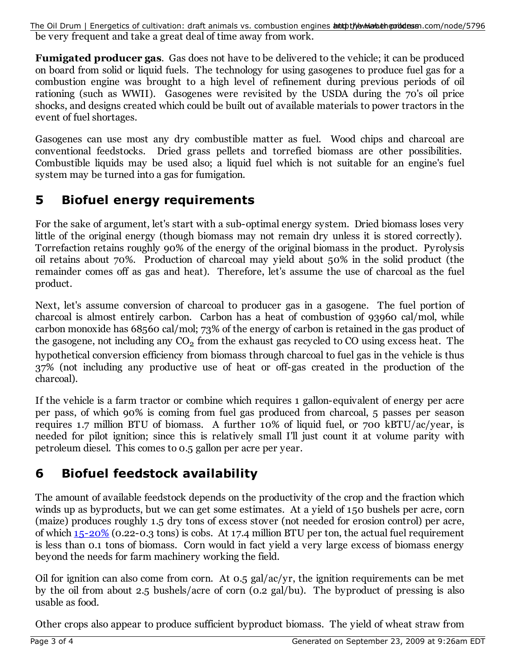be very frequent and take a great deal of time away from work. The Oil Drum | Energetics of cultivation: draft animals vs. combustion engines **antothey May at eporthera**n.com/node/5796

**Fumigated producer gas**. Gas does not have to be delivered to the vehicle; it can be produced on board from solid or liquid fuels. The technology for using gasogenes to produce fuel gas for a combustion engine was brought to a high level of refinement during previous periods of oil rationing (such as WWII). Gasogenes were revisited by the USDA during the 70's oil price shocks, and designs created which could be built out of available materials to power tractors in the event of fuel shortages.

Gasogenes can use most any dry combustible matter as fuel. Wood chips and charcoal are conventional feedstocks. Dried grass pellets and torrefied biomass are other possibilities. Combustible liquids may be used also; a liquid fuel which is not suitable for an engine's fuel system may be turned into a gas for fumigation.

### **5 Biofuel energy requirements**

For the sake of argument, let's start with a sub-optimal energy system. Dried biomass loses very little of the original energy (though biomass may not remain dry unless it is stored correctly). Torrefaction retains roughly 90% of the energy of the original biomass in the product. Pyrolysis oil retains about 70%. Production of charcoal may yield about 50% in the solid product (the remainder comes off as gas and heat). Therefore, let's assume the use of charcoal as the fuel product.

Next, let's assume conversion of charcoal to producer gas in a gasogene. The fuel portion of charcoal is almost entirely carbon. Carbon has a heat of combustion of 93960 cal/mol, while carbon monoxide has 68560 cal/mol; 73% of the energy of carbon is retained in the gas product of the gasogene, not including any  $\mathrm{CO}_2$  from the exhaust gas recycled to CO using excess heat. The hypothetical conversion efficiency from biomass through charcoal to fuel gas in the vehicle is thus 37% (not including any productive use of heat or off-gas created in the production of the charcoal).

If the vehicle is a farm tractor or combine which requires 1 gallon-equivalent of energy per acre per pass, of which 90% is coming from fuel gas produced from charcoal, 5 passes per season requires 1.7 million BTU of biomass. A further 10% of liquid fuel, or 700 kBTU/ac/year, is needed for pilot ignition; since this is relatively small I'll just count it at volume parity with petroleum diesel. This comes to 0.5 gallon per acre per year.

# **6 Biofuel feedstock availability**

The amount of available feedstock depends on the productivity of the crop and the fraction which winds up as byproducts, but we can get some estimates. At a yield of 150 bushels per acre, corn (maize) produces roughly 1.5 dry tons of excess stover (not needed for erosion control) per acre, of which 15-20% (0.22-0.3 tons) is cobs. At 17.4 million BTU per ton, the actual fuel requirement is less than 0.1 tons of biomass. Corn would in fact yield a very large excess of biomass energy beyond the needs for farm machinery working the field.

Oil for ignition can also come from corn. At 0.5 gal/ac/yr, the ignition requirements can be met by the oil from about 2.5 bushels/acre of corn (0.2 gal/bu). The byproduct of pressing is also usable as food.

Other crops also appear to produce sufficient byproduct biomass. The yield of wheat straw from